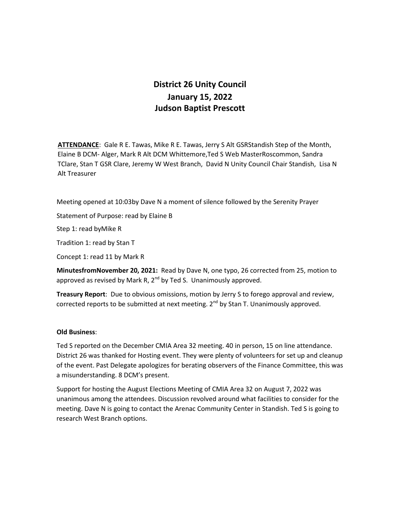## **District 26 Unity Council January 15, 2022 Judson Baptist Prescott**

**ATTENDANCE**: Gale R E. Tawas, Mike R E. Tawas, Jerry S Alt GSRStandish Step of the Month, Elaine B DCM- Alger, Mark R Alt DCM Whittemore,Ted S Web MasterRoscommon, Sandra TClare, Stan T GSR Clare, Jeremy W West Branch, David N Unity Council Chair Standish, Lisa N Alt Treasurer

Meeting opened at 10:03by Dave N a moment of silence followed by the Serenity Prayer

Statement of Purpose: read by Elaine B

Step 1: read byMike R

Tradition 1: read by Stan T

Concept 1: read 11 by Mark R

**MinutesfromNovember 20, 2021:** Read by Dave N, one typo, 26 corrected from 25, motion to approved as revised by Mark R,  $2^{nd}$  by Ted S. Unanimously approved.

**Treasury Report**: Due to obvious omissions, motion by Jerry S to forego approval and review, corrected reports to be submitted at next meeting. 2<sup>nd</sup> by Stan T. Unanimously approved.

## **Old Business**:

Ted S reported on the December CMIA Area 32 meeting. 40 in person, 15 on line attendance. District 26 was thanked for Hosting event. They were plenty of volunteers for set up and cleanup of the event. Past Delegate apologizes for berating observers of the Finance Committee, this was a misunderstanding. 8 DCM's present.

Support for hosting the August Elections Meeting of CMIA Area 32 on August 7, 2022 was unanimous among the attendees. Discussion revolved around what facilities to consider for the meeting. Dave N is going to contact the Arenac Community Center in Standish. Ted S is going to research West Branch options.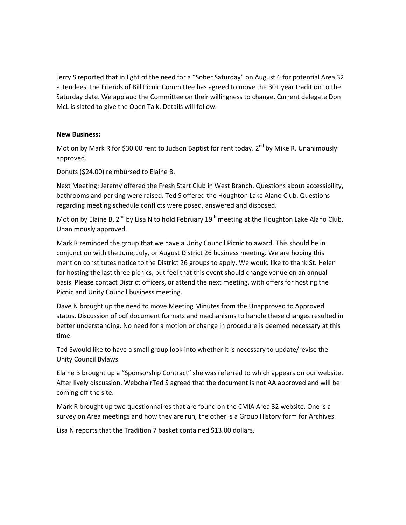Jerry S reported that in light of the need for a "Sober Saturday" on August 6 for potential Area 32 attendees, the Friends of Bill Picnic Committee has agreed to move the 30+ year tradition to the Saturday date. We applaud the Committee on their willingness to change. Current delegate Don McL is slated to give the Open Talk. Details will follow.

## **New Business:**

Motion by Mark R for \$30.00 rent to Judson Baptist for rent today.  $2^{nd}$  by Mike R. Unanimously approved.

Donuts (\$24.00) reimbursed to Elaine B.

Next Meeting: Jeremy offered the Fresh Start Club in West Branch. Questions about accessibility, bathrooms and parking were raised. Ted S offered the Houghton Lake Alano Club. Questions regarding meeting schedule conflicts were posed, answered and disposed.

Motion by Elaine B,  $2^{nd}$  by Lisa N to hold February  $19^{th}$  meeting at the Houghton Lake Alano Club. Unanimously approved.

Mark R reminded the group that we have a Unity Council Picnic to award. This should be in conjunction with the June, July, or August District 26 business meeting. We are hoping this mention constitutes notice to the District 26 groups to apply. We would like to thank St. Helen for hosting the last three picnics, but feel that this event should change venue on an annual basis. Please contact District officers, or attend the next meeting, with offers for hosting the Picnic and Unity Council business meeting.

Dave N brought up the need to move Meeting Minutes from the Unapproved to Approved status. Discussion of pdf document formats and mechanisms to handle these changes resulted in better understanding. No need for a motion or change in procedure is deemed necessary at this time.

Ted Swould like to have a small group look into whether it is necessary to update/revise the Unity Council Bylaws.

Elaine B brought up a "Sponsorship Contract" she was referred to which appears on our website. After lively discussion, WebchairTed S agreed that the document is not AA approved and will be coming off the site.

Mark R brought up two questionnaires that are found on the CMIA Area 32 website. One is a survey on Area meetings and how they are run, the other is a Group History form for Archives.

Lisa N reports that the Tradition 7 basket contained \$13.00 dollars.